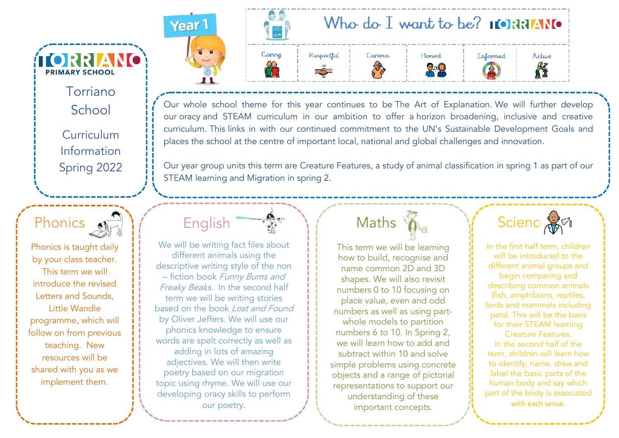Torriano School Curriculum Information Spring 2022

**TORRIANO** 

**PRIMARY SCHOOL** 



Phonics is taught daily by your class teacher. This term we will introduce the revised Letters and Sounds, Little Wandle programme, which will follow on from previous teaching. New resources will be shared with you as we implement them.





Our whole school theme for this year continues to be The Art of Explanation. We will further develop our oracy and STEAM curriculum in our ambition to offer a horizon broadening, inclusive and creative curriculum. This links in with our continued commitment to the UN's Sustainable Development Goals and places the school at the centre of important local, national and global challenges and innovation.

Our year group units this term are Creature Features, a study of animal classification in spring 1 as part of our STEAM learning and Migration in spring 2.

We will be writing fact files about different animals using the descriptive writing style of the non – fiction book Funny Bums and Freaky Beaks. In the second half term we will be writing stories based on the book Lost and Found by Oliver Jeffers. We will use our phonics knowledge to ensure words are spelt correctly as well as adding in lots of amazing adjectives. We will then write poetry based on our migration topic using rhyme. We will use our developing oracy skills to perform our poetry.

English

## Maths

This term we will be learning how to build, recognise and name common 2D and 3D shapes. We will also revisit numbers 0 to 10 focusing on place value, even and odd numbers as well as using partwhole models to partition numbers 6 to 10. In Spring 2, we will learn how to add and subtract within 10 and solve simple problems using concrete objects and a range of pictorial representations to support our understanding of these important concepts.



In the first half term, children will be introduced to the different animal groups and begin comparing and describing common animals (fish, amphibians, reptiles, birds and mammals including pets). This will be the basis for their STEAM learning Creature Features. In the second half of the term, children will learn how to identify, name, draw and label the basic parts of the human body and say which part of the body is associated

with each sense.